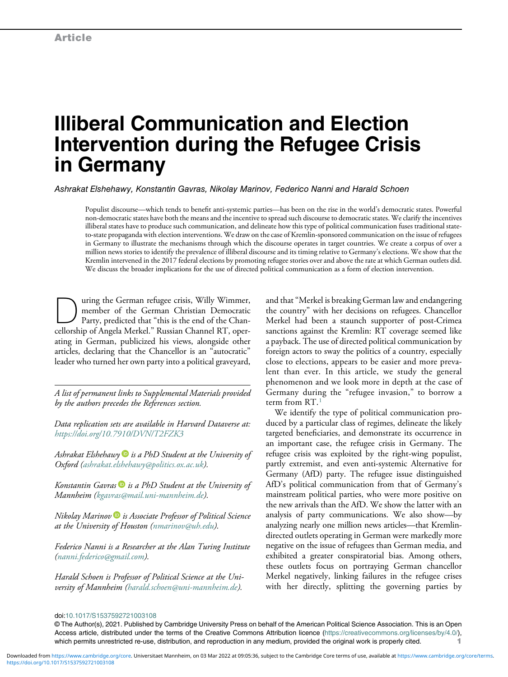# Illiberal Communication and Election Intervention during the Refugee Crisis in Germany

Ashrakat Elshehawy, Konstantin Gavras, Nikolay Marinov, Federico Nanni and Harald Schoen

Populist discourse—which tends to benefit anti-systemic parties—has been on the rise in the world's democratic states. Powerful non-democratic states have both the means and the incentive to spread such discourse to democratic states. We clarify the incentives illiberal states have to produce such communication, and delineate how this type of political communication fuses traditional stateto-state propaganda with election interventions. We draw on the case of Kremlin-sponsored communication on the issue of refugees in Germany to illustrate the mechanisms through which the discourse operates in target countries. We create a corpus of over a million news stories to identify the prevalence of illiberal discourse and its timing relative to Germany's elections. We show that the Kremlin intervened in the 2017 federal elections by promoting refugee stories over and above the rate at which German outlets did. We discuss the broader implications for the use of directed political communication as a form of election intervention.

<u>During the German refugee crisis, Willy Wimmer,</u><br>
Party, predicted that "this is the end of the Chan-<br>
cellorship of Angela Merkel " Bussian Channel BT, oper member of the German Christian Democratic cellorship of Angela Merkel." Russian Channel RT, operating in German, publicized his views, alongside other articles, declaring that the Chancellor is an "autocratic" leader who turned her own party into a political graveyard,

A list of permanent links to Supplemental Materials provided by the authors precedes the References section.

Data replication sets are available in Harvard Dataverse at: <https://doi.org/10.7910/DVN/T2FZK3>

Ashrakat Elshehawy  $\blacksquare$  is a PhD Student at the University of Oxford [\(ashrakat.elshehawy@politics.ox.ac.uk\)](mailto:ashrakat.elshehawy@politics.ox.ac.uk).

Konstantin Gavras  $\blacksquare$  is a PhD Student at the University of Mannheim ([kgavras@mail.uni-mannheim.de](mailto:kgavras@mail.uni-mannheim.de)).

Nikolay Marinov  $\blacksquare$  is Associate Professor of Political Science at the University of Houston ([nmarinov@uh.edu](mailto:nmarinov@uh.edu)).

Federico Nanni is a Researcher at the Alan Turing Institute [\(nanni.federico@gmail.com\)](mailto:nanni.federico@gmail.com).

Harald Schoen is Professor of Political Science at the University of Mannheim [\(harald.schoen@uni-mannheim.de\)](mailto:harald.schoen@uni-mannheim.de).

and that"Merkel is breaking German law and endangering the country" with her decisions on refugees. Chancellor Merkel had been a staunch supporter of post-Crimea sanctions against the Kremlin: RT coverage seemed like a payback. The use of directed political communication by foreign actors to sway the politics of a country, especially close to elections, appears to be easier and more prevalent than ever. In this article, we study the general phenomenon and we look more in depth at the case of Germany during the "refugee invasion," to borrow a term from RT.[1](#page-13-0)

We identify the type of political communication produced by a particular class of regimes, delineate the likely targeted beneficiaries, and demonstrate its occurrence in an important case, the refugee crisis in Germany. The refugee crisis was exploited by the right-wing populist, partly extremist, and even anti-systemic Alternative for Germany (AfD) party. The refugee issue distinguished AfD's political communication from that of Germany's mainstream political parties, who were more positive on the new arrivals than the AfD. We show the latter with an analysis of party communications. We also show—by analyzing nearly one million news articles—that Kremlindirected outlets operating in German were markedly more negative on the issue of refugees than German media, and exhibited a greater conspiratorial bias. Among others, these outlets focus on portraying German chancellor Merkel negatively, linking failures in the refugee crises with her directly, splitting the governing parties by

doi[:10.1017/S1537592721003108](https://doi.org/10.1017/S1537592721003108)

<sup>©</sup> The Author(s), 2021. Published by Cambridge University Press on behalf of the American Political Science Association. This is an Open Access article, distributed under the terms of the Creative Commons Attribution licence (<https://creativecommons.org/licenses/by/4.0/>), which permits unrestricted re-use, distribution, and reproduction in any medium, provided the original work is properly cited.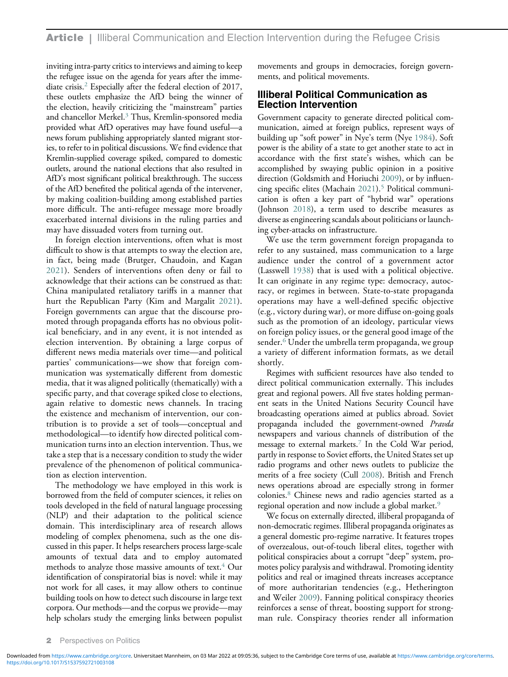inviting intra-party critics to interviews and aiming to keep the refugee issue on the agenda for years after the immediate crisis.[2](#page-13-1) Especially after the federal election of 2017, these outlets emphasize the AfD being the winner of the election, heavily criticizing the "mainstream" parties and chancellor Merkel.[3](#page-13-2) Thus, Kremlin-sponsored media provided what AfD operatives may have found useful—a news forum publishing appropriately slanted migrant stories, to refer to in political discussions. We find evidence that Kremlin-supplied coverage spiked, compared to domestic outlets, around the national elections that also resulted in AfD's most significant political breakthrough. The success of the AfD benefited the political agenda of the intervener, by making coalition-building among established parties more difficult. The anti-refugee message more broadly exacerbated internal divisions in the ruling parties and may have dissuaded voters from turning out.

In foreign election interventions, often what is most difficult to show is that attempts to sway the election are, in fact, being made (Brutger, Chaudoin, and Kagan [2021](#page-16-0)). Senders of interventions often deny or fail to acknowledge that their actions can be construed as that: China manipulated retaliatory tariffs in a manner that hurt the Republican Party (Kim and Margalit [2021](#page-17-0)). Foreign governments can argue that the discourse promoted through propaganda efforts has no obvious political beneficiary, and in any event, it is not intended as election intervention. By obtaining a large corpus of different news media materials over time—and political parties' communications—we show that foreign communication was systematically different from domestic media, that it was aligned politically (thematically) with a specific party, and that coverage spiked close to elections, again relative to domestic news channels. In tracing the existence and mechanism of intervention, our contribution is to provide a set of tools—conceptual and methodological—to identify how directed political communication turns into an election intervention. Thus, we take a step that is a necessary condition to study the wider prevalence of the phenomenon of political communication as election intervention.

The methodology we have employed in this work is borrowed from the field of computer sciences, it relies on tools developed in the field of natural language processing (NLP) and their adaptation to the political science domain. This interdisciplinary area of research allows modeling of complex phenomena, such as the one discussed in this paper. It helps researchers process large-scale amounts of textual data and to employ automated methods to analyze those massive amounts of text.<sup>4</sup> Our identification of conspiratorial bias is novel: while it may not work for all cases, it may allow others to continue building tools on how to detect such discourse in large text corpora. Our methods—and the corpus we provide—may help scholars study the emerging links between populist

movements and groups in democracies, foreign governments, and political movements.

# Illiberal Political Communication as Election Intervention

Government capacity to generate directed political communication, aimed at foreign publics, represent ways of building up "soft power" in Nye's term (Nye [1984](#page-17-1)). Soft power is the ability of a state to get another state to act in accordance with the first state's wishes, which can be accomplished by swaying public opinion in a positive direction (Goldsmith and Horiuchi [2009](#page-16-1)), or by influen-cing specific elites (Machain [2021](#page-17-2)).<sup>5</sup> Political communication is often a key part of "hybrid war" operations (Johnson [2018\)](#page-17-3), a term used to describe measures as diverse as engineering scandals about politicians or launching cyber-attacks on infrastructure.

We use the term government foreign propaganda to refer to any sustained, mass communication to a large audience under the control of a government actor (Lasswell [1938\)](#page-17-4) that is used with a political objective. It can originate in any regime type: democracy, autocracy, or regimes in between. State-to-state propaganda operations may have a well-defined specific objective (e.g., victory during war), or more diffuse on-going goals such as the promotion of an ideology, particular views on foreign policy issues, or the general good image of the sender.<sup>[6](#page-13-5)</sup> Under the umbrella term propaganda, we group a variety of different information formats, as we detail shortly.

Regimes with sufficient resources have also tended to direct political communication externally. This includes great and regional powers. All five states holding permanent seats in the United Nations Security Council have broadcasting operations aimed at publics abroad. Soviet propaganda included the government-owned Pravda newspapers and various channels of distribution of the message to external markets.<sup>[7](#page-13-6)</sup> In the Cold War period, partly in response to Soviet efforts, the United States set up radio programs and other news outlets to publicize the merits of a free society (Cull [2008\)](#page-16-2). British and French news operations abroad are especially strong in former colonies.[8](#page-13-7) Chinese news and radio agencies started as a regional operation and now include a global market.<sup>[9](#page-13-8)</sup>

We focus on externally directed, illiberal propaganda of non-democratic regimes. Illiberal propaganda originates as a general domestic pro-regime narrative. It features tropes of overzealous, out-of-touch liberal elites, together with political conspiracies about a corrupt "deep" system, promotes policy paralysis and withdrawal. Promoting identity politics and real or imagined threats increases acceptance of more authoritarian tendencies (e.g., Hetherington and Weiler [2009\)](#page-17-5). Fanning political conspiracy theories reinforces a sense of threat, boosting support for strongman rule. Conspiracy theories render all information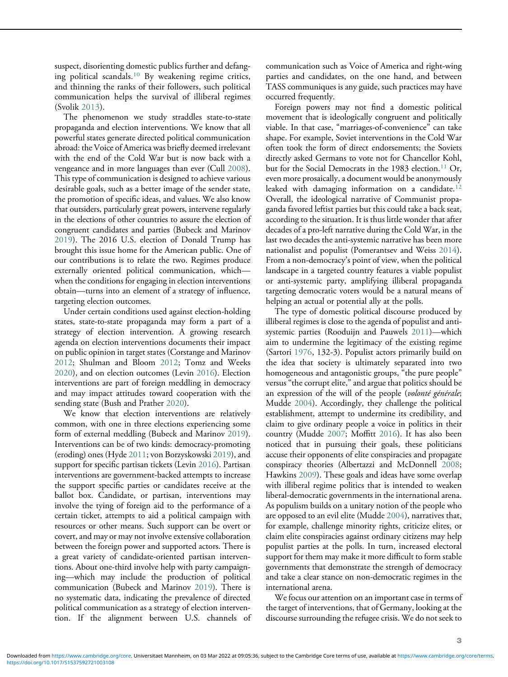suspect, disorienting domestic publics further and defanging political scandals.[10](#page-13-9) By weakening regime critics, and thinning the ranks of their followers, such political communication helps the survival of illiberal regimes (Svolik [2013\)](#page-18-0).

The phenomenon we study straddles state-to-state propaganda and election interventions. We know that all powerful states generate directed political communication abroad: the Voice of America was briefly deemed irrelevant with the end of the Cold War but is now back with a vengeance and in more languages than ever (Cull [2008](#page-16-2)). This type of communication is designed to achieve various desirable goals, such as a better image of the sender state, the promotion of specific ideas, and values. We also know that outsiders, particularly great powers, intervene regularly in the elections of other countries to assure the election of congruent candidates and parties (Bubeck and Marinov [2019\)](#page-16-3). The 2016 U.S. election of Donald Trump has brought this issue home for the American public. One of our contributions is to relate the two. Regimes produce externally oriented political communication, which when the conditions for engaging in election interventions obtain—turns into an element of a strategy of influence, targeting election outcomes.

Under certain conditions used against election-holding states, state-to-state propaganda may form a part of a strategy of election intervention. A growing research agenda on election interventions documents their impact on public opinion in target states (Corstange and Marinov [2012;](#page-16-4) Shulman and Bloom [2012](#page-18-1); Tomz and Weeks [2020\)](#page-18-2), and on election outcomes (Levin [2016\)](#page-17-6). Election interventions are part of foreign meddling in democracy and may impact attitudes toward cooperation with the sending state (Bush and Prather [2020](#page-16-5)).

We know that election interventions are relatively common, with one in three elections experiencing some form of external meddling (Bubeck and Marinov [2019](#page-16-3)). Interventions can be of two kinds: democracy-promoting (eroding) ones (Hyde [2011](#page-17-7); von Borzyskowski [2019](#page-18-3)), and support for specific partisan tickets (Levin [2016\)](#page-17-6). Partisan interventions are government-backed attempts to increase the support specific parties or candidates receive at the ballot box. Candidate, or partisan, interventions may involve the tying of foreign aid to the performance of a certain ticket, attempts to aid a political campaign with resources or other means. Such support can be overt or covert, and may or may not involve extensive collaboration between the foreign power and supported actors. There is a great variety of candidate-oriented partisan interventions. About one-third involve help with party campaigning—which may include the production of political communication (Bubeck and Marinov [2019](#page-16-3)). There is no systematic data, indicating the prevalence of directed political communication as a strategy of election intervention. If the alignment between U.S. channels of communication such as Voice of America and right-wing parties and candidates, on the one hand, and between TASS communiques is any guide, such practices may have occurred frequently.

Foreign powers may not find a domestic political movement that is ideologically congruent and politically viable. In that case, "marriages-of-convenience" can take shape. For example, Soviet interventions in the Cold War often took the form of direct endorsements; the Soviets directly asked Germans to vote not for Chancellor Kohl, but for the Social Democrats in the 1983 election.<sup>[11](#page-14-0)</sup> Or, even more prosaically, a document would be anonymously leaked with damaging information on a candidate. $12$ Overall, the ideological narrative of Communist propaganda favored leftist parties but this could take a back seat, according to the situation. It is thus little wonder that after decades of a pro-left narrative during the Cold War, in the last two decades the anti-systemic narrative has been more nationalist and populist (Pomerantsev and Weiss [2014](#page-17-8)). From a non-democracy's point of view, when the political landscape in a targeted country features a viable populist or anti-systemic party, amplifying illiberal propaganda targeting democratic voters would be a natural means of helping an actual or potential ally at the polls.

The type of domestic political discourse produced by illiberal regimes is close to the agenda of populist and antisystemic parties (Rooduijn and Pauwels [2011\)](#page-18-4)—which aim to undermine the legitimacy of the existing regime (Sartori [1976,](#page-18-5) 132-3). Populist actors primarily build on the idea that society is ultimately separated into two homogeneous and antagonistic groups, "the pure people" versus "the corrupt elite," and argue that politics should be an expression of the will of the people (volonté générale; Mudde [2004](#page-17-9)). Accordingly, they challenge the political establishment, attempt to undermine its credibility, and claim to give ordinary people a voice in politics in their country (Mudde [2007;](#page-17-10) Moffitt [2016](#page-17-11)). It has also been noticed that in pursuing their goals, these politicians accuse their opponents of elite conspiracies and propagate conspiracy theories (Albertazzi and McDonnell [2008](#page-15-0); Hawkins [2009](#page-17-12)). These goals and ideas have some overlap with illiberal regime politics that is intended to weaken liberal-democratic governments in the international arena. As populism builds on a unitary notion of the people who are opposed to an evil elite (Mudde [2004\)](#page-17-9), narratives that, for example, challenge minority rights, criticize elites, or claim elite conspiracies against ordinary citizens may help populist parties at the polls. In turn, increased electoral support for them may make it more difficult to form stable governments that demonstrate the strength of democracy and take a clear stance on non-democratic regimes in the international arena.

We focus our attention on an important case in terms of the target of interventions, that of Germany, looking at the discourse surrounding the refugee crisis. We do not seek to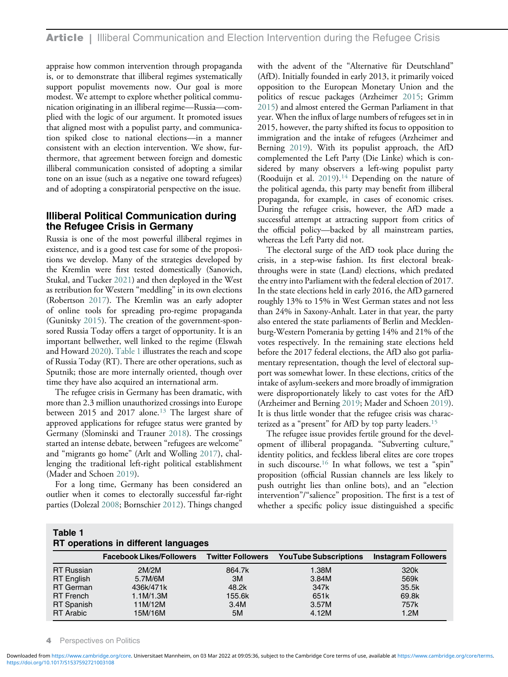appraise how common intervention through propaganda is, or to demonstrate that illiberal regimes systematically support populist movements now. Our goal is more modest. We attempt to explore whether political communication originating in an illiberal regime—Russia—complied with the logic of our argument. It promoted issues that aligned most with a populist party, and communication spiked close to national elections—in a manner consistent with an election intervention. We show, furthermore, that agreement between foreign and domestic illiberal communication consisted of adopting a similar tone on an issue (such as a negative one toward refugees) and of adopting a conspiratorial perspective on the issue.

# Illiberal Political Communication during the Refugee Crisis in Germany

Russia is one of the most powerful illiberal regimes in existence, and is a good test case for some of the propositions we develop. Many of the strategies developed by the Kremlin were first tested domestically (Sanovich, Stukal, and Tucker [2021](#page-18-6)) and then deployed in the West as retribution for Western "meddling" in its own elections (Robertson [2017\)](#page-18-7). The Kremlin was an early adopter of online tools for spreading pro-regime propaganda (Gunitsky [2015\)](#page-17-13). The creation of the government-sponsored Russia Today offers a target of opportunity. It is an important bellwether, well linked to the regime (Elswah and Howard [2020\)](#page-16-6). [Table 1](#page-3-0) illustrates the reach and scope of Russia Today (RT). There are other operations, such as Sputnik; those are more internally oriented, though over time they have also acquired an international arm.

The refugee crisis in Germany has been dramatic, with more than 2.3 million unauthorized crossings into Europe between 2015 and 2017 alone.<sup>[13](#page-14-2)</sup> The largest share of approved applications for refugee status were granted by Germany (Slominski and Trauner [2018](#page-18-8)). The crossings started an intense debate, between "refugees are welcome" and "migrants go home" (Arlt and Wolling [2017\)](#page-15-1), challenging the traditional left-right political establishment (Mader and Schoen [2019\)](#page-17-5).

For a long time, Germany has been considered an outlier when it comes to electorally successful far-right parties (Dolezal [2008](#page-16-7); Bornschier [2012](#page-16-8)). Things changed

with the advent of the "Alternative für Deutschland" (AfD). Initially founded in early 2013, it primarily voiced opposition to the European Monetary Union and the politics of rescue packages (Arzheimer [2015;](#page-15-2) Grimm [2015](#page-17-14)) and almost entered the German Parliament in that year. When the influx of large numbers of refugees set in in 2015, however, the party shifted its focus to opposition to immigration and the intake of refugees (Arzheimer and Berning [2019](#page-15-3)). With its populist approach, the AfD complemented the Left Party (Die Linke) which is considered by many observers a left-wing populist party (Rooduijn et al.  $2019$ ).<sup>[14](#page-14-3)</sup> Depending on the nature of the political agenda, this party may benefit from illiberal propaganda, for example, in cases of economic crises. During the refugee crisis, however, the AfD made a successful attempt at attracting support from critics of the official policy—backed by all mainstream parties, whereas the Left Party did not.

The electoral surge of the AfD took place during the crisis, in a step-wise fashion. Its first electoral breakthroughs were in state (Land) elections, which predated the entry into Parliament with the federal election of 2017. In the state elections held in early 2016, the AfD garnered roughly 13% to 15% in West German states and not less than 24% in Saxony-Anhalt. Later in that year, the party also entered the state parliaments of Berlin and Mecklenburg-Western Pomerania by getting 14% and 21% of the votes respectively. In the remaining state elections held before the 2017 federal elections, the AfD also got parliamentary representation, though the level of electoral support was somewhat lower. In these elections, critics of the intake of asylum-seekers and more broadly of immigration were disproportionately likely to cast votes for the AfD (Arzheimer and Berning [2019;](#page-15-3) Mader and Schoen [2019](#page-17-5)). It is thus little wonder that the refugee crisis was characterized as a "present" for AfD by top party leaders.[15](#page-14-4)

The refugee issue provides fertile ground for the development of illiberal propaganda. "Subverting culture," identity politics, and feckless liberal elites are core tropes in such discourse.<sup>[16](#page-14-5)</sup> In what follows, we test a "spin" proposition (official Russian channels are less likely to push outright lies than online bots), and an "election intervention"/"salience" proposition. The first is a test of whether a specific policy issue distinguished a specific

<span id="page-3-0"></span>

| Table 1                              |  |  |
|--------------------------------------|--|--|
| RT operations in different languages |  |  |

| <b>THE OPERATORS IN UNICIDENT REIGNACIOS</b> |                                 |                          |                              |                            |  |  |
|----------------------------------------------|---------------------------------|--------------------------|------------------------------|----------------------------|--|--|
|                                              | <b>Facebook Likes/Followers</b> | <b>Twitter Followers</b> | <b>YouTube Subscriptions</b> | <b>Instagram Followers</b> |  |  |
| <b>RT</b> Russian                            | 2M/2M                           | 864.7k                   | 1.38M                        | 320k                       |  |  |
| <b>RT</b> English                            | 5.7M/6M                         | 3M                       | 3.84M                        | 569k                       |  |  |
| <b>RT</b> German                             | 436k/471k                       | 48.2k                    | 347k                         | 35.5k                      |  |  |
| <b>RT</b> French                             | 1.1M/1.3M                       | 155.6k                   | 651k                         | 69.8k                      |  |  |
| <b>RT</b> Spanish                            | 11M/12M                         | 3.4M                     | 3.57M                        | 757k                       |  |  |
| <b>RT</b> Arabic                             | 15M/16M                         | 5M                       | 4.12M                        | 1.2M                       |  |  |

**Perspectives on Politics** 

<https://doi.org/10.1017/S1537592721003108> Downloaded from<https://www.cambridge.org/core>. Universitaet Mannheim, on 03 Mar 2022 at 09:05:36, subject to the Cambridge Core terms of use, available at <https://www.cambridge.org/core/terms>.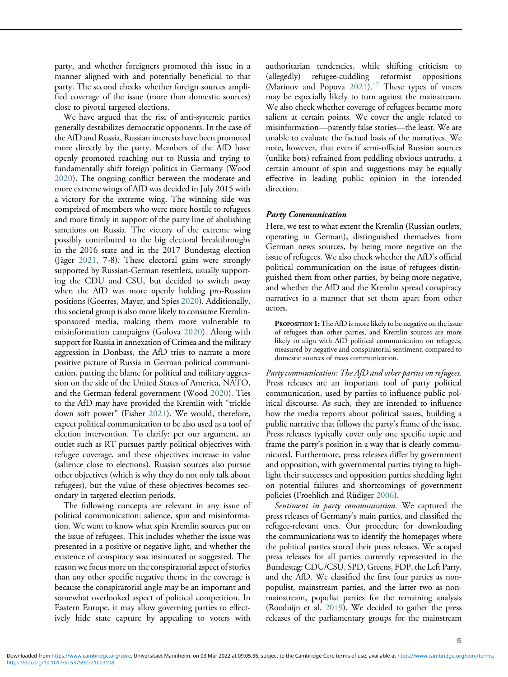party, and whether foreigners promoted this issue in a manner aligned with and potentially beneficial to that party. The second checks whether foreign sources amplified coverage of the issue (more than domestic sources) close to pivotal targeted elections.

We have argued that the rise of anti-systemic parties generally destabilizes democratic opponents. In the case of the AfD and Russia, Russian interests have been promoted more directly by the party. Members of the AfD have openly promoted reaching out to Russia and trying to fundamentally shift foreign politics in Germany (Wood [2020\)](#page-18-10). The ongoing conflict between the moderate and more extreme wings of AfD was decided in July 2015 with a victory for the extreme wing. The winning side was comprised of members who were more hostile to refugees and more firmly in support of the party line of abolishing sanctions on Russia. The victory of the extreme wing possibly contributed to the big electoral breakthroughs in the 2016 state and in the 2017 Bundestag election (Jäger [2021,](#page-17-15) 7-8). These electoral gains were strongly supported by Russian-German resettlers, usually supporting the CDU and CSU, but decided to switch away when the AfD was more openly holding pro-Russian positions (Goerres, Mayer, and Spies [2020\)](#page-16-9). Additionally, this societal group is also more likely to consume Kremlinsponsored media, making them more vulnerable to misinformation campaigns (Golova [2020\)](#page-16-10). Along with support for Russia in annexation of Crimea and the military aggression in Donbass, the AfD tries to narrate a more positive picture of Russia in German political communication, putting the blame for political and military aggression on the side of the United States of America, NATO, and the German federal government (Wood [2020\)](#page-18-10). Ties to the AfD may have provided the Kremlin with "trickle down soft power" (Fisher [2021\)](#page-16-11). We would, therefore, expect political communication to be also used as a tool of election intervention. To clarify: per our argument, an outlet such as RT pursues partly political objectives with refugee coverage, and these objectives increase in value (salience close to elections). Russian sources also pursue other objectives (which is why they do not only talk about refugees), but the value of these objectives becomes secondary in targeted election periods.

The following concepts are relevant in any issue of political communication: salience, spin and misinformation. We want to know what spin Kremlin sources put on the issue of refugees. This includes whether the issue was presented in a positive or negative light, and whether the existence of conspiracy was insinuated or suggested. The reason we focus more on the conspiratorial aspect of stories than any other specific negative theme in the coverage is because the conspiratorial angle may be an important and somewhat overlooked aspect of political competition. In Eastern Europe, it may allow governing parties to effectively hide state capture by appealing to voters with

authoritarian tendencies, while shifting criticism to (allegedly) refugee-cuddling reformist oppositions (Marinov and Popova  $2021$ ).<sup>[17](#page-14-6)</sup> These types of voters may be especially likely to turn against the mainstream. We also check whether coverage of refugees became more salient at certain points. We cover the angle related to misinformation—patently false stories—the least. We are unable to evaluate the factual basis of the narratives. We note, however, that even if semi-official Russian sources (unlike bots) refrained from peddling obvious untruths, a certain amount of spin and suggestions may be equally effective in leading public opinion in the intended direction.

#### Party Communication

Here, we test to what extent the Kremlin (Russian outlets, operating in German), distinguished themselves from German news sources, by being more negative on the issue of refugees. We also check whether the AfD's official political communication on the issue of refugees distinguished them from other parties, by being more negative, and whether the AfD and the Kremlin spread conspiracy narratives in a manner that set them apart from other actors.

PROPOSITION 1: The AfD is more likely to be negative on the issue of refugees than other parties, and Kremlin sources are more likely to align with AfD political communication on refugees, measured by negative and conspiratorial sentiment, compared to domestic sources of mass communication.

Party communication: The AfD and other parties on refugees. Press releases are an important tool of party political communication, used by parties to influence public political discourse. As such, they are intended to influence how the media reports about political issues, building a public narrative that follows the party's frame of the issue. Press releases typically cover only one specific topic and frame the party's position in a way that is clearly communicated. Furthermore, press releases differ by government and opposition, with governmental parties trying to highlight their successes and opposition parties shedding light on potential failures and shortcomings of government policies (Froehlich and Rüdiger [2006\)](#page-16-12).

Sentiment in party communication. We captured the press releases of Germany's main parties, and classified the refugee-relevant ones. Our procedure for downloading the communications was to identify the homepages where the political parties stored their press releases. We scraped press releases for all parties currently represented in the Bundestag: CDU/CSU, SPD, Greens, FDP, the Left Party, and the AfD. We classified the first four parties as nonpopulist, mainstream parties, and the latter two as nonmainstream, populist parties for the remaining analysis (Rooduijn et al. [2019\)](#page-18-9). We decided to gather the press releases of the parliamentary groups for the mainstream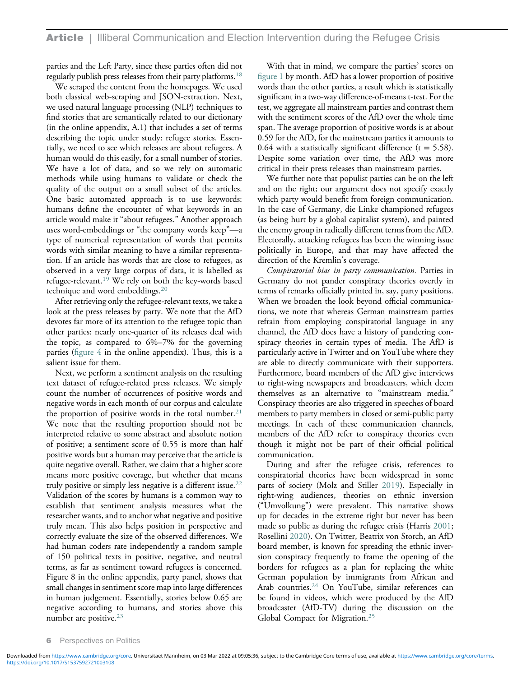parties and the Left Party, since these parties often did not regularly publish press releases from their party platforms[.18](#page-14-7)

We scraped the content from the homepages. We used both classical web-scraping and JSON-extraction. Next, we used natural language processing (NLP) techniques to find stories that are semantically related to our dictionary (in the online appendix, A.1) that includes a set of terms describing the topic under study: refugee stories. Essentially, we need to see which releases are about refugees. A human would do this easily, for a small number of stories. We have a lot of data, and so we rely on automatic methods while using humans to validate or check the quality of the output on a small subset of the articles. One basic automated approach is to use keywords: humans define the encounter of what keywords in an article would make it "about refugees." Another approach uses word-embeddings or "the company words keep"—a type of numerical representation of words that permits words with similar meaning to have a similar representation. If an article has words that are close to refugees, as observed in a very large corpus of data, it is labelled as refugee-relevant.[19](#page-14-8) We rely on both the key-words based technique and word embeddings.[20](#page-14-9)

After retrieving only the refugee-relevant texts, we take a look at the press releases by party. We note that the AfD devotes far more of its attention to the refugee topic than other parties: nearly one-quarter of its releases deal with the topic, as compared to 6%–7% for the governing parties (figure  $4$  in the online appendix). Thus, this is a salient issue for them.

Next, we perform a sentiment analysis on the resulting text dataset of refugee-related press releases. We simply count the number of occurrences of positive words and negative words in each month of our corpus and calculate the proportion of positive words in the total number.<sup>[21](#page-14-0)</sup> We note that the resulting proportion should not be interpreted relative to some abstract and absolute notion of positive; a sentiment score of 0.55 is more than half positive words but a human may perceive that the article is quite negative overall. Rather, we claim that a higher score means more positive coverage, but whether that means truly positive or simply less negative is a different issue.<sup>22</sup> Validation of the scores by humans is a common way to establish that sentiment analysis measures what the researcher wants, and to anchor what negative and positive truly mean. This also helps position in perspective and correctly evaluate the size of the observed differences. We had human coders rate independently a random sample of 150 political texts in positive, negative, and neutral terms, as far as sentiment toward refugees is concerned. Figure 8 in the online appendix, party panel, shows that small changes in sentiment score map into large differences in human judgement. Essentially, stories below 0.65 are negative according to humans, and stories above this number are positive. $23$ 

With that in mind, we compare the parties' scores on fi[gure 1](#page-6-0) by month. AfD has a lower proportion of positive words than the other parties, a result which is statistically significant in a two-way difference-of-means t-test. For the test, we aggregate all mainstream parties and contrast them with the sentiment scores of the AfD over the whole time span. The average proportion of positive words is at about 0.59 for the AfD, for the mainstream parties it amounts to 0.64 with a statistically significant difference ( $t = 5.58$ ). Despite some variation over time, the AfD was more critical in their press releases than mainstream parties.

We further note that populist parties can be on the left and on the right; our argument does not specify exactly which party would benefit from foreign communication. In the case of Germany, die Linke championed refugees (as being hurt by a global capitalist system), and painted the enemy group in radically different terms from the AfD. Electorally, attacking refugees has been the winning issue politically in Europe, and that may have affected the direction of the Kremlin's coverage.

Conspiratorial bias in party communication. Parties in Germany do not pander conspiracy theories overtly in terms of remarks officially printed in, say, party positions. When we broaden the look beyond official communications, we note that whereas German mainstream parties refrain from employing conspiratorial language in any channel, the AfD does have a history of pandering conspiracy theories in certain types of media. The AfD is particularly active in Twitter and on YouTube where they are able to directly communicate with their supporters. Furthermore, board members of the AfD give interviews to right-wing newspapers and broadcasters, which deem themselves as an alternative to "mainstream media." Conspiracy theories are also triggered in speeches of board members to party members in closed or semi-public party meetings. In each of these communication channels, members of the AfD refer to conspiracy theories even though it might not be part of their official political communication.

During and after the refugee crisis, references to conspiratorial theories have been widespread in some parts of society (Molz and Stiller [2019](#page-17-17)). Especially in right-wing audiences, theories on ethnic inversion ("Umvolkung") were prevalent. This narrative shows up for decades in the extreme right but never has been made so public as during the refugee crisis (Harris [2001;](#page-17-18) Rosellini [2020\)](#page-18-11). On Twitter, Beatrix von Storch, an AfD board member, is known for spreading the ethnic inversion conspiracy frequently to frame the opening of the borders for refugees as a plan for replacing the white German population by immigrants from African and Arab countries.[24](#page-14-12) On YouTube, similar references can be found in videos, which were produced by the AfD broadcaster (AfD-TV) during the discussion on the Global Compact for Migration.<sup>[25](#page-14-13)</sup>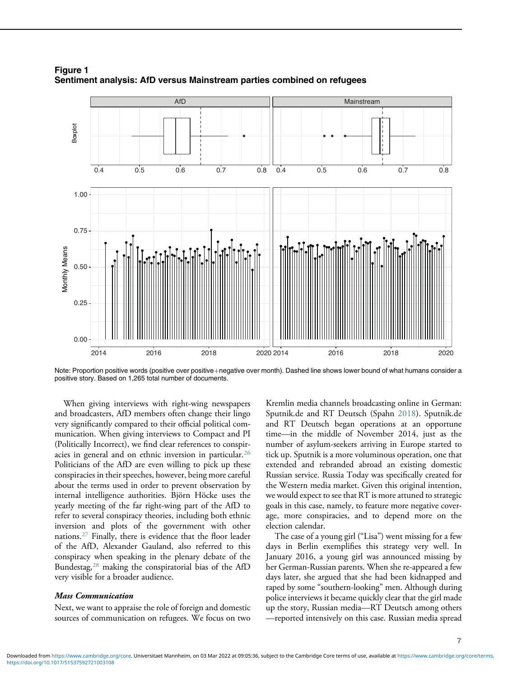

<span id="page-6-0"></span>Figure 1 Sentiment analysis: AfD versus Mainstream parties combined on refugees

Note: Proportion positive words (positive over positive+negative over month). Dashed line shows lower bound of what humans consider a positive story. Based on 1,265 total number of documents.

When giving interviews with right-wing newspapers and broadcasters, AfD members often change their lingo very significantly compared to their official political communication. When giving interviews to Compact and PI (Politically Incorrect), we find clear references to conspiracies in general and on ethnic inversion in particular.[26](#page-14-14) Politicians of the AfD are even willing to pick up these conspiracies in their speeches, however, being more careful about the terms used in order to prevent observation by internal intelligence authorities. Björn Höcke uses the yearly meeting of the far right-wing part of the AfD to refer to several conspiracy theories, including both ethnic inversion and plots of the government with other nations.[27](#page-14-15) Finally, there is evidence that the floor leader of the AfD, Alexander Gauland, also referred to this conspiracy when speaking in the plenary debate of the Bundestag,[28](#page-14-3) making the conspiratorial bias of the AfD very visible for a broader audience.

#### Mass Communication

Next, we want to appraise the role of foreign and domestic sources of communication on refugees. We focus on two

Kremlin media channels broadcasting online in German: Sputnik.de and RT Deutsch (Spahn [2018](#page-18-12)). Sputnik.de and RT Deutsch began operations at an opportune time—in the middle of November 2014, just as the number of asylum-seekers arriving in Europe started to tick up. Sputnik is a more voluminous operation, one that extended and rebranded abroad an existing domestic Russian service. Russia Today was specifically created for the Western media market. Given this original intention, we would expect to see that RT is more attuned to strategic goals in this case, namely, to feature more negative coverage, more conspiracies, and to depend more on the election calendar.

The case of a young girl ("Lisa") went missing for a few days in Berlin exemplifies this strategy very well. In January 2016, a young girl was announced missing by her German-Russian parents. When she re-appeared a few days later, she argued that she had been kidnapped and raped by some "southern-looking" men. Although during police interviews it became quickly clear that the girl made up the story, Russian media—RT Deutsch among others —reported intensively on this case. Russian media spread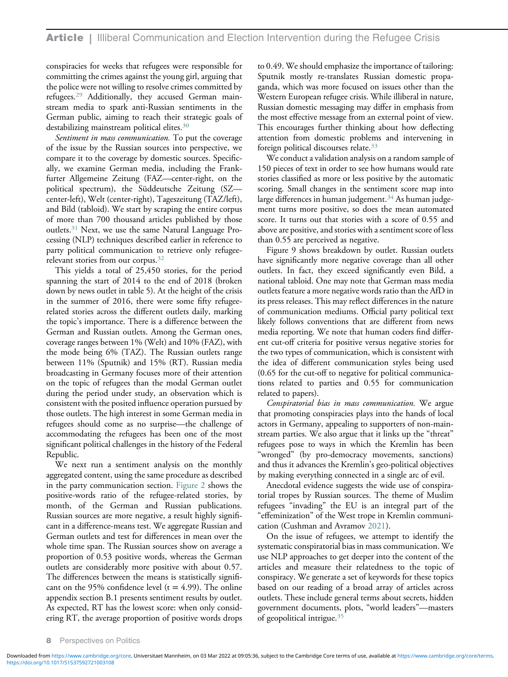conspiracies for weeks that refugees were responsible for committing the crimes against the young girl, arguing that the police were not willing to resolve crimes committed by refugees.[29](#page-14-16) Additionally, they accused German mainstream media to spark anti-Russian sentiments in the German public, aiming to reach their strategic goals of destabilizing mainstream political elites.<sup>30</sup>

Sentiment in mass communication. To put the coverage of the issue by the Russian sources into perspective, we compare it to the coverage by domestic sources. Specifically, we examine German media, including the Frankfurter Allgemeine Zeitung (FAZ—center-right, on the political spectrum), the Süddeutsche Zeitung (SZ center-left), Welt (center-right), Tageszeitung (TAZ/left), and Bild (tabloid). We start by scraping the entire corpus of more than 700 thousand articles published by those outlets.[31](#page-14-18) Next, we use the same Natural Language Processing (NLP) techniques described earlier in reference to party political communication to retrieve only refugee-relevant stories from our corpus.<sup>[32](#page-14-19)</sup>

This yields a total of 25,450 stories, for the period spanning the start of 2014 to the end of 2018 (broken down by news outlet in table 5). At the height of the crisis in the summer of 2016, there were some fifty refugeerelated stories across the different outlets daily, marking the topic's importance. There is a difference between the German and Russian outlets. Among the German ones, coverage ranges between 1% (Welt) and 10% (FAZ), with the mode being 6% (TAZ). The Russian outlets range between 11% (Sputnik) and 15% (RT). Russian media broadcasting in Germany focuses more of their attention on the topic of refugees than the modal German outlet during the period under study, an observation which is consistent with the posited influence operation pursued by those outlets. The high interest in some German media in refugees should come as no surprise—the challenge of accommodating the refugees has been one of the most significant political challenges in the history of the Federal Republic.

We next run a sentiment analysis on the monthly aggregated content, using the same procedure as described in the party communication section. [Figure 2](#page-8-0) shows the positive-words ratio of the refugee-related stories, by month, of the German and Russian publications. Russian sources are more negative, a result highly significant in a difference-means test. We aggregate Russian and German outlets and test for differences in mean over the whole time span. The Russian sources show on average a proportion of 0.53 positive words, whereas the German outlets are considerably more positive with about 0.57. The differences between the means is statistically significant on the 95% confidence level ( $t = 4.99$ ). The online appendix section B.1 presents sentiment results by outlet. As expected, RT has the lowest score: when only considering RT, the average proportion of positive words drops to 0.49. We should emphasize the importance of tailoring: Sputnik mostly re-translates Russian domestic propaganda, which was more focused on issues other than the Western European refugee crisis. While illiberal in nature, Russian domestic messaging may differ in emphasis from the most effective message from an external point of view. This encourages further thinking about how deflecting attention from domestic problems and intervening in foreign political discourses relate.[33](#page-14-7)

We conduct a validation analysis on a random sample of 150 pieces of text in order to see how humans would rate stories classified as more or less positive by the automatic scoring. Small changes in the sentiment score map into large differences in human judgement. $34$  As human judgement turns more positive, so does the mean automated score. It turns out that stories with a score of 0.55 and above are positive, and stories with a sentiment score of less than 0.55 are perceived as negative.

Figure 9 shows breakdown by outlet. Russian outlets have significantly more negative coverage than all other outlets. In fact, they exceed significantly even Bild, a national tabloid. One may note that German mass media outlets feature a more negative words ratio than the AfD in its press releases. This may reflect differences in the nature of communication mediums. Official party political text likely follows conventions that are different from news media reporting. We note that human coders find different cut-off criteria for positive versus negative stories for the two types of communication, which is consistent with the idea of different communication styles being used (0.65 for the cut-off to negative for political communications related to parties and 0.55 for communication related to papers).

Conspiratorial bias in mass communication. We argue that promoting conspiracies plays into the hands of local actors in Germany, appealing to supporters of non-mainstream parties. We also argue that it links up the "threat" refugees pose to ways in which the Kremlin has been "wronged" (by pro-democracy movements, sanctions) and thus it advances the Kremlin's geo-political objectives by making everything connected in a single arc of evil.

Anecdotal evidence suggests the wide use of conspiratorial tropes by Russian sources. The theme of Muslim refugees "invading" the EU is an integral part of the "effeminization" of the West trope in Kremlin communication (Cushman and Avramov [2021\)](#page-16-13).

On the issue of refugees, we attempt to identify the systematic conspiratorial bias in mass communication. We use NLP approaches to get deeper into the content of the articles and measure their relatedness to the topic of conspiracy. We generate a set of keywords for these topics based on our reading of a broad array of articles across outlets. These include general terms about secrets, hidden government documents, plots, "world leaders"—masters of geopolitical intrigue.[35](#page-14-21)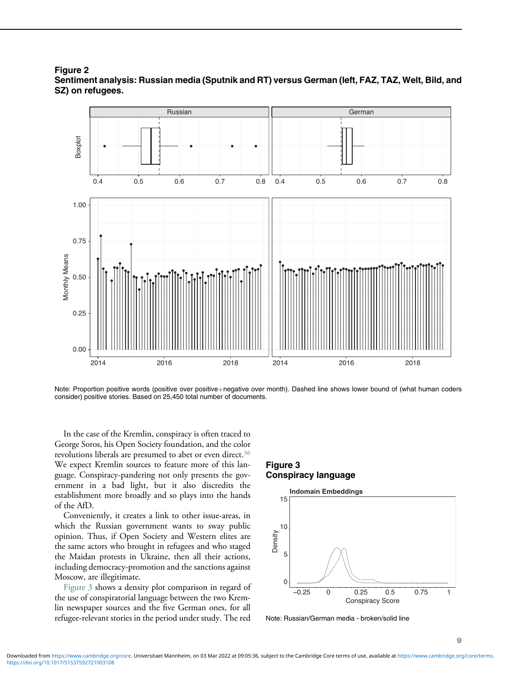<span id="page-8-0"></span>



Note: Proportion positive words (positive over positive+negative over month). Dashed line shows lower bound of (what human coders consider) positive stories. Based on 25,450 total number of documents.

<span id="page-8-1"></span>In the case of the Kremlin, conspiracy is often traced to George Soros, his Open Society foundation, and the color revolutions liberals are presumed to abet or even direct.<sup>[36](#page-14-22)</sup> We expect Kremlin sources to feature more of this language. Conspiracy-pandering not only presents the government in a bad light, but it also discredits the establishment more broadly and so plays into the hands of the AfD.

Conveniently, it creates a link to other issue-areas, in which the Russian government wants to sway public opinion. Thus, if Open Society and Western elites are the same actors who brought in refugees and who staged the Maidan protests in Ukraine, then all their actions, including democracy-promotion and the sanctions against Moscow, are illegitimate.

[Figure 3](#page-8-1) shows a density plot comparison in regard of the use of conspiratorial language between the two Kremlin newspaper sources and the five German ones, for all refugee-relevant stories in the period under study. The red

# Figure 3 Conspiracy language



Note: Russian/German media - broken/solid line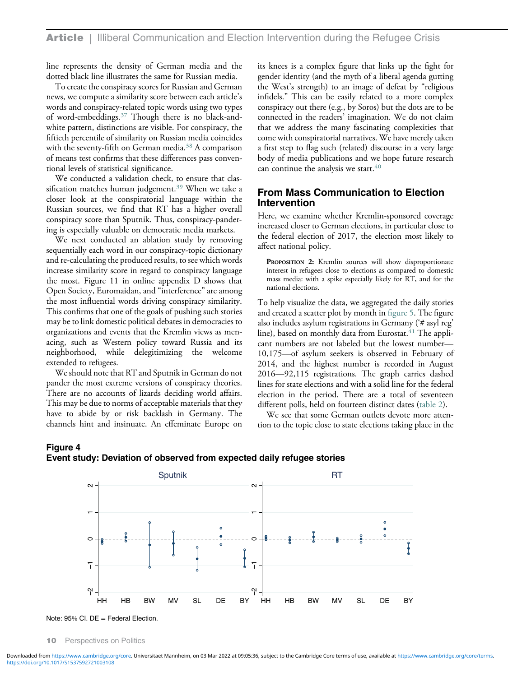line represents the density of German media and the dotted black line illustrates the same for Russian media.

To create the conspiracy scores for Russian and German news, we compute a similarity score between each article's words and conspiracy-related topic words using two types of word-embeddings.[37](#page-15-4) Though there is no black-andwhite pattern, distinctions are visible. For conspiracy, the fiftieth percentile of similarity on Russian media coincides with the seventy-fifth on German media.<sup>[38](#page-15-5)</sup> A comparison of means test confirms that these differences pass conventional levels of statistical significance.

We conducted a validation check, to ensure that clas-sification matches human judgement.<sup>[39](#page-15-6)</sup> When we take a closer look at the conspiratorial language within the Russian sources, we find that RT has a higher overall conspiracy score than Sputnik. Thus, conspiracy-pandering is especially valuable on democratic media markets.

We next conducted an ablation study by removing sequentially each word in our conspiracy-topic dictionary and re-calculating the produced results, to see which words increase similarity score in regard to conspiracy language the most. Figure 11 in online appendix D shows that Open Society, Euromaidan, and "interference" are among the most influential words driving conspiracy similarity. This confirms that one of the goals of pushing such stories may be to link domestic political debates in democracies to organizations and events that the Kremlin views as menacing, such as Western policy toward Russia and its neighborhood, while delegitimizing the welcome extended to refugees.

We should note that RT and Sputnik in German do not pander the most extreme versions of conspiracy theories. There are no accounts of lizards deciding world affairs. This may be due to norms of acceptable materials that they have to abide by or risk backlash in Germany. The channels hint and insinuate. An effeminate Europe on

its knees is a complex figure that links up the fight for gender identity (and the myth of a liberal agenda gutting the West's strength) to an image of defeat by "religious infidels." This can be easily related to a more complex conspiracy out there (e.g., by Soros) but the dots are to be connected in the readers' imagination. We do not claim that we address the many fascinating complexities that come with conspiratorial narratives. We have merely taken a first step to flag such (related) discourse in a very large body of media publications and we hope future research can continue the analysis we start.<sup>[40](#page-15-7)</sup>

# From Mass Communication to Election Intervention

Here, we examine whether Kremlin-sponsored coverage increased closer to German elections, in particular close to the federal election of 2017, the election most likely to affect national policy.

PROPOSITION 2: Kremlin sources will show disproportionate interest in refugees close to elections as compared to domestic mass media: with a spike especially likely for RT, and for the national elections.

To help visualize the data, we aggregated the daily stories and created a scatter plot by month in fi[gure 5.](#page-10-0) The figure also includes asylum registrations in Germany ('# asyl reg' line), based on monthly data from Eurostat.<sup>[41](#page-15-8)</sup> The applicant numbers are not labeled but the lowest number— 10,175—of asylum seekers is observed in February of 2014, and the highest number is recorded in August 2016—92,115 registrations. The graph carries dashed lines for state elections and with a solid line for the federal election in the period. There are a total of seventeen different polls, held on fourteen distinct dates [\(table 2\)](#page-11-0).

We see that some German outlets devote more attention to the topic close to state elections taking place in the

#### <span id="page-9-0"></span>Figure 4 Event study: Deviation of observed from expected daily refugee stories





10 Perspectives on Politics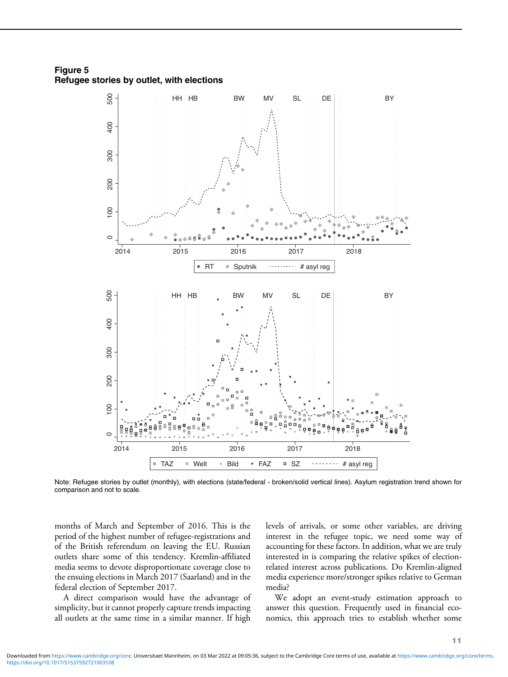<span id="page-10-0"></span>Figure 5 Refugee stories by outlet, with elections



Note: Refugee stories by outlet (monthly), with elections (state/federal - broken/solid vertical lines). Asylum registration trend shown for comparison and not to scale.

months of March and September of 2016. This is the period of the highest number of refugee-registrations and of the British referendum on leaving the EU. Russian outlets share some of this tendency. Kremlin-affiliated media seems to devote disproportionate coverage close to the ensuing elections in March 2017 (Saarland) and in the federal election of September 2017.

A direct comparison would have the advantage of simplicity, but it cannot properly capture trends impacting all outlets at the same time in a similar manner. If high levels of arrivals, or some other variables, are driving interest in the refugee topic, we need some way of accounting for these factors. In addition, what we are truly interested in is comparing the relative spikes of electionrelated interest across publications. Do Kremlin-aligned media experience more/stronger spikes relative to German media?

We adopt an event-study estimation approach to answer this question. Frequently used in financial economics, this approach tries to establish whether some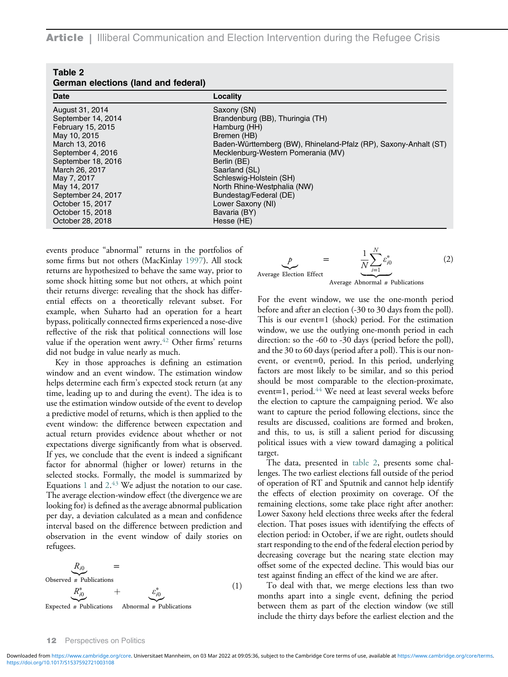**Article** | Illiberal Communication and Election Intervention during the Refugee Crisis

<span id="page-11-0"></span>

| Table 2<br>German elections (land and federal) |                                                                  |
|------------------------------------------------|------------------------------------------------------------------|
| <b>Date</b>                                    | Locality                                                         |
| August 31, 2014                                | Saxony (SN)                                                      |
| September 14, 2014                             | Brandenburg (BB), Thuringia (TH)                                 |
| February 15, 2015                              | Hamburg (HH)                                                     |
| May 10, 2015                                   | Bremen (HB)                                                      |
| March 13, 2016                                 | Baden-Württemberg (BW), Rhineland-Pfalz (RP), Saxony-Anhalt (ST) |
| September 4, 2016                              | Mecklenburg-Western Pomerania (MV)                               |
| September 18, 2016                             | Berlin (BE)                                                      |
| March 26, 2017                                 | Saarland (SL)                                                    |
| May 7, 2017                                    | Schleswig-Holstein (SH)                                          |
| May 14, 2017                                   | North Rhine-Westphalia (NW)                                      |
| September 24, 2017                             | Bundestag/Federal (DE)                                           |
| October 15, 2017                               | Lower Saxony (NI)                                                |
| October 15, 2018                               | Bavaria (BY)                                                     |
| October 28, 2018                               | Hesse (HE)                                                       |

events produce "abnormal" returns in the portfolios of some firms but not others (MacKinlay [1997\)](#page-17-12). All stock returns are hypothesized to behave the same way, prior to some shock hitting some but not others, at which point their returns diverge: revealing that the shock has differential effects on a theoretically relevant subset. For example, when Suharto had an operation for a heart bypass, politically connected firms experienced a nose-dive reflective of the risk that political connections will lose value if the operation went awry. $42$  Other firms' returns did not budge in value nearly as much.

Key in those approaches is defining an estimation window and an event window. The estimation window helps determine each firm's expected stock return (at any time, leading up to and during the event). The idea is to use the estimation window outside of the event to develop a predictive model of returns, which is then applied to the event window: the difference between expectation and actual return provides evidence about whether or not expectations diverge significantly from what is observed. If yes, we conclude that the event is indeed a significant factor for abnormal (higher or lower) returns in the selected stocks. Formally, the model is summarized by Equations  $1$  and  $2.43$  $2.43$  We adjust the notation to our case. The average election-window effect (the divergence we are looking for) is defined as the average abnormal publication per day, a deviation calculated as a mean and confidence interval based on the difference between prediction and observation in the event window of daily stories on refugees.



$$
p = \frac{1}{N} \sum_{i=1}^{N} \varepsilon_{i0}^{*}
$$
 (2)  
Average Electron Effect Average Abnormal # Publications

 $\Lambda$ 

For the event window, we use the one-month period before and after an election (-30 to 30 days from the poll). This is our event=1 (shock) period. For the estimation window, we use the outlying one-month period in each direction: so the -60 to -30 days (period before the poll), and the 30 to 60 days (period after a poll). This is our nonevent, or event=0, period. In this period, underlying factors are most likely to be similar, and so this period should be most comparable to the election-proximate, event=1, period.<sup>[44](#page-15-11)</sup> We need at least several weeks before the election to capture the campaigning period. We also want to capture the period following elections, since the results are discussed, coalitions are formed and broken, and this, to us, is still a salient period for discussing political issues with a view toward damaging a political target.

The data, presented in [table 2](#page-11-0), presents some challenges. The two earliest elections fall outside of the period of operation of RT and Sputnik and cannot help identify the effects of election proximity on coverage. Of the remaining elections, some take place right after another: Lower Saxony held elections three weeks after the federal election. That poses issues with identifying the effects of election period: in October, if we are right, outlets should start responding to the end of the federal election period by decreasing coverage but the nearing state election may offset some of the expected decline. This would bias our test against finding an effect of the kind we are after.

To deal with that, we merge elections less than two months apart into a single event, defining the period between them as part of the election window (we still include the thirty days before the earliest election and the

#### 12 Perspectives on Politics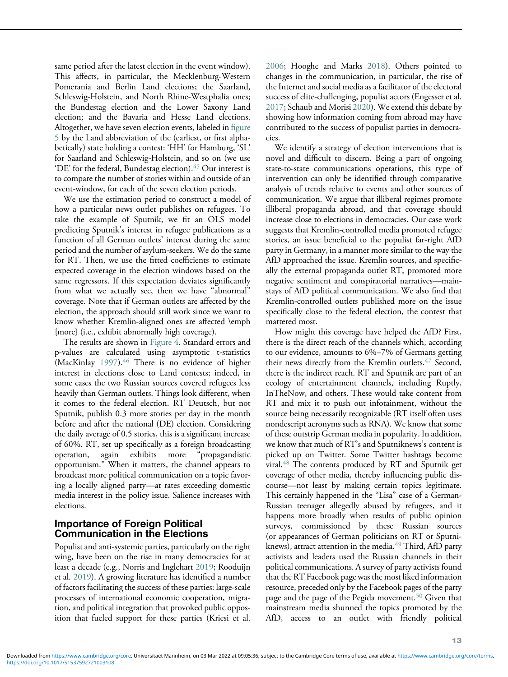same period after the latest election in the event window). This affects, in particular, the Mecklenburg-Western Pomerania and Berlin Land elections; the Saarland, Schleswig-Holstein, and North Rhine-Westphalia ones; the Bundestag election and the Lower Saxony Land election; and the Bavaria and Hesse Land elections. Altogether, we have seven election events, labeled in fi[gure](#page-10-0) [5](#page-10-0) by the Land abbreviation of the (earliest, or first alphabetically) state holding a contest: 'HH' for Hamburg, 'SL' for Saarland and Schleswig-Holstein, and so on (we use 'DE' for the federal, Bundestag election).<sup>[45](#page-15-0)</sup> Our interest is to compare the number of stories within and outside of an event-window, for each of the seven election periods.

We use the estimation period to construct a model of how a particular news outlet publishes on refugees. To take the example of Sputnik, we fit an OLS model predicting Sputnik's interest in refugee publications as a function of all German outlets' interest during the same period and the number of asylum-seekers. We do the same for RT. Then, we use the fitted coefficients to estimate expected coverage in the election windows based on the same regressors. If this expectation deviates significantly from what we actually see, then we have "abnormal" coverage. Note that if German outlets are affected by the election, the approach should still work since we want to know whether Kremlin-aligned ones are affected \emph {more} (i.e., exhibit abnormally high coverage).

The results are shown in [Figure 4.](#page-9-0) Standard errors and p-values are calculated using asymptotic t-statistics (MacKinlay [1997\)](#page-17-12).<sup>46</sup> There is no evidence of higher interest in elections close to Land contests; indeed, in some cases the two Russian sources covered refugees less heavily than German outlets. Things look different, when it comes to the federal election. RT Deutsch, but not Sputnik, publish 0.3 more stories per day in the month before and after the national (DE) election. Considering the daily average of 0.5 stories, this is a significant increase of 60%. RT, set up specifically as a foreign broadcasting operation, again exhibits more "propagandistic opportunism." When it matters, the channel appears to broadcast more political communication on a topic favoring a locally aligned party—at rates exceeding domestic media interest in the policy issue. Salience increases with elections.

# Importance of Foreign Political Communication in the Elections

Populist and anti-systemic parties, particularly on the right wing, have been on the rise in many democracies for at least a decade (e.g., Norris and Inglehart [2019;](#page-17-19) Rooduijn et al. [2019\)](#page-18-9). A growing literature has identified a number of factors facilitating the success of these parties: large-scale processes of international economic cooperation, migration, and political integration that provoked public opposition that fueled support for these parties (Kriesi et al.

[2006;](#page-17-20) Hooghe and Marks [2018](#page-17-21)). Others pointed to changes in the communication, in particular, the rise of the Internet and social media as a facilitator of the electoral success of elite-challenging, populist actors (Engesser et al. [2017;](#page-16-14) Schaub and Morisi [2020](#page-18-13)). We extend this debate by showing how information coming from abroad may have contributed to the success of populist parties in democracies.

We identify a strategy of election interventions that is novel and difficult to discern. Being a part of ongoing state-to-state communications operations, this type of intervention can only be identified through comparative analysis of trends relative to events and other sources of communication. We argue that illiberal regimes promote illiberal propaganda abroad, and that coverage should increase close to elections in democracies. Our case work suggests that Kremlin-controlled media promoted refugee stories, an issue beneficial to the populist far-right AfD party in Germany, in a manner more similar to the way the AfD approached the issue. Kremlin sources, and specifically the external propaganda outlet RT, promoted more negative sentiment and conspiratorial narratives—mainstays of AfD political communication. We also find that Kremlin-controlled outlets published more on the issue specifically close to the federal election, the contest that mattered most.

How might this coverage have helped the AfD? First, there is the direct reach of the channels which, according to our evidence, amounts to 6%–7% of Germans getting their news directly from the Kremlin outlets.<sup>[47](#page-15-12)</sup> Second, there is the indirect reach. RT and Sputnik are part of an ecology of entertainment channels, including Ruptly, InTheNow, and others. These would take content from RT and mix it to push out infotainment, without the source being necessarily recognizable (RT itself often uses nondescript acronyms such as RNA). We know that some of these outstrip German media in popularity. In addition, we know that much of RT's and Sputniknews's content is picked up on Twitter. Some Twitter hashtags become viral.[48](#page-15-13) The contents produced by RT and Sputnik get coverage of other media, thereby influencing public discourse—not least by making certain topics legitimate. This certainly happened in the "Lisa" case of a German-Russian teenager allegedly abused by refugees, and it happens more broadly when results of public opinion surveys, commissioned by these Russian sources (or appearances of German politicians on RT or Sputniknews), attract attention in the media. $49$  Third, AfD party activists and leaders used the Russian channels in their political communications. A survey of party activists found that the RT Facebook page was the most liked information resource, preceded only by the Facebook pages of the party page and the page of the Pegida movement.[50](#page-15-4) Given that mainstream media shunned the topics promoted by the AfD, access to an outlet with friendly political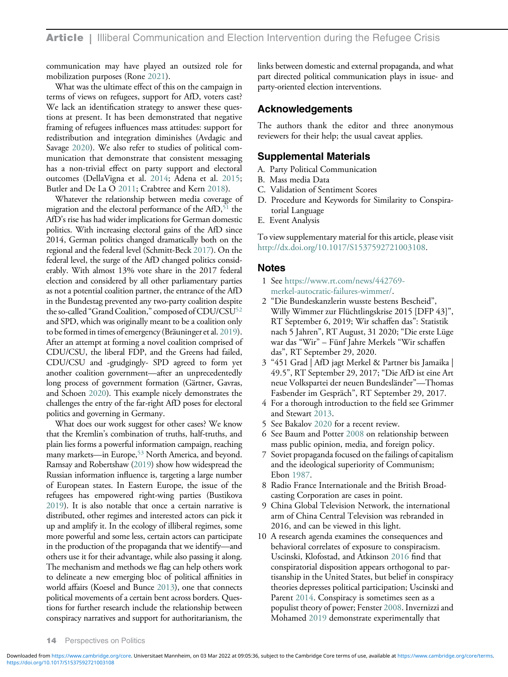communication may have played an outsized role for mobilization purposes (Rone [2021](#page-18-14)).

What was the ultimate effect of this on the campaign in terms of views on refugees, support for AfD, voters cast? We lack an identification strategy to answer these questions at present. It has been demonstrated that negative framing of refugees influences mass attitudes: support for redistribution and integration diminishes (Avdagic and Savage [2020](#page-15-15)). We also refer to studies of political communication that demonstrate that consistent messaging has a non-trivial effect on party support and electoral outcomes (DellaVigna et al. [2014;](#page-16-15) Adena et al. [2015;](#page-15-16) Butler and De La O [2011](#page-16-16); Crabtree and Kern [2018\)](#page-16-17).

<span id="page-13-1"></span><span id="page-13-0"></span>Whatever the relationship between media coverage of migration and the electoral performance of the  $AfD$ ,<sup>51</sup> the AfD's rise has had wider implications for German domestic politics. With increasing electoral gains of the AfD since 2014, German politics changed dramatically both on the regional and the federal level (Schmitt-Beck [2017\)](#page-18-15). On the federal level, the surge of the AfD changed politics considerably. With almost 13% vote share in the 2017 federal election and considered by all other parliamentary parties as not a potential coalition partner, the entrance of the AfD in the Bundestag prevented any two-party coalition despite the so-called "Grand Coalition," composed of CDU/CSU<sup>52</sup> and SPD, which was originally meant to be a coalition only to be formed in times of emergency (Bräuninger et al. [2019](#page-16-18)). After an attempt at forming a novel coalition comprised of CDU/CSU, the liberal FDP, and the Greens had failed, CDU/CSU and -grudgingly- SPD agreed to form yet another coalition government—after an unprecedentedly long process of government formation (Gärtner, Gavras, and Schoen [2020](#page-16-19)). This example nicely demonstrates the challenges the entry of the far-right AfD poses for electoral politics and governing in Germany.

<span id="page-13-9"></span><span id="page-13-8"></span><span id="page-13-7"></span><span id="page-13-6"></span><span id="page-13-5"></span><span id="page-13-4"></span><span id="page-13-3"></span><span id="page-13-2"></span>What does our work suggest for other cases? We know that the Kremlin's combination of truths, half-truths, and plain lies forms a powerful information campaign, reaching many markets—in Europe,<sup>[53](#page-15-19)</sup> North America, and beyond. Ramsay and Robertshaw [\(2019\)](#page-18-15) show how widespread the Russian information influence is, targeting a large number of European states. In Eastern Europe, the issue of the refugees has empowered right-wing parties (Bustikova [2019\)](#page-16-20). It is also notable that once a certain narrative is distributed, other regimes and interested actors can pick it up and amplify it. In the ecology of illiberal regimes, some more powerful and some less, certain actors can participate in the production of the propaganda that we identify—and others use it for their advantage, while also passing it along. The mechanism and methods we flag can help others work to delineate a new emerging bloc of political affinities in world affairs (Koesel and Bunce [2013\)](#page-17-1), one that connects political movements of a certain bent across borders. Questions for further research include the relationship between conspiracy narratives and support for authoritarianism, the links between domestic and external propaganda, and what part directed political communication plays in issue- and party-oriented election interventions.

# Acknowledgements

The authors thank the editor and three anonymous reviewers for their help; the usual caveat applies.

### Supplemental Materials

- A. Party Political Communication
- B. Mass media Data
- C. Validation of Sentiment Scores
- D. Procedure and Keywords for Similarity to Conspiratorial Language
- E. Event Analysis

To view supplementary material for this article, please visit [http://dx.doi.org/10.1017/S1537592721003108.](http://dx.doi.org/10.1017/S1537592721003108)

#### Notes

- 1 See [https://www.rt.com/news/442769](https://www.rt.com/news/442769-merkel-autocratic-failures-wimmer/) [merkel-autocratic-failures-wimmer/](https://www.rt.com/news/442769-merkel-autocratic-failures-wimmer/).
- 2 "Die Bundeskanzlerin wusste bestens Bescheid", Willy Wimmer zur Flüchtlingskrise 2015 [DFP 43]", RT September 6, 2019; Wir schaffen das": Statistik nach 5 Jahren", RT August, 31 2020; "Die erste Lüge war das "Wir" – Fünf Jahre Merkels "Wir schaffen das", RT September 29, 2020.
- 3 "451 Grad | AfD jagt Merkel & Partner bis Jamaika | 49.5", RT September 29, 2017; "Die AfD ist eine Art neue Volkspartei der neuen Bundesländer"—Thomas Fasbender im Gespräch", RT September 29, 2017.
- 4 For a thorough introduction to the field see Grimmer and Stewart [2013](#page-17-22).
- 5 See Bakalov [2020](#page-15-20) for a recent review.
- 6 See Baum and Potter [2008](#page-16-7) on relationship between mass public opinion, media, and foreign policy.
- 7 Soviet propaganda focused on the failings of capitalism and the ideological superiority of Communism; Ebon [1987](#page-16-21).
- 8 Radio France Internationale and the British Broadcasting Corporation are cases in point.
- 9 China Global Television Network, the international arm of China Central Television was rebranded in 2016, and can be viewed in this light.
- 10 A research agenda examines the consequences and behavioral correlates of exposure to conspiracism. Uscinski, Klofostad, and Atkinson [2016](#page-18-11) find that conspiratorial disposition appears orthogonal to partisanship in the United States, but belief in conspiracy theories depresses political participation; Uscinski and Parent [2014](#page-18-16). Conspiracy is sometimes seen as a populist theory of power; Fenster [2008.](#page-16-3) Invernizzi and Mohamed [2019](#page-17-23) demonstrate experimentally that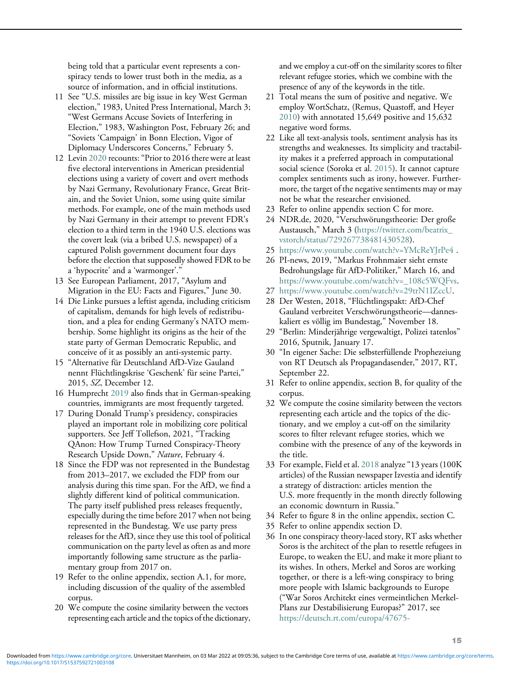being told that a particular event represents a conspiracy tends to lower trust both in the media, as a source of information, and in official institutions.

- <span id="page-14-0"></span>11 See "U.S. missiles are big issue in key West German election," 1983, United Press International, March 3; "West Germans Accuse Soviets of Interfering in Election," 1983, Washington Post, February 26; and "Soviets 'Campaign' in Bonn Election, Vigor of Diplomacy Underscores Concerns," February 5.
- <span id="page-14-12"></span><span id="page-14-11"></span><span id="page-14-10"></span><span id="page-14-1"></span>12 Levin [2020](#page-17-24) recounts:"Prior to 2016 there were at least five electoral interventions in American presidential elections using a variety of covert and overt methods by Nazi Germany, Revolutionary France, Great Britain, and the Soviet Union, some using quite similar methods. For example, one of the main methods used by Nazi Germany in their attempt to prevent FDR's election to a third term in the 1940 U.S. elections was the covert leak (via a bribed U.S. newspaper) of a captured Polish government document four days before the election that supposedly showed FDR to be a 'hypocrite' and a 'warmonger'."
- <span id="page-14-15"></span><span id="page-14-14"></span><span id="page-14-13"></span><span id="page-14-2"></span>13 See European Parliament, 2017, "Asylum and Migration in the EU: Facts and Figures," June 30.
- <span id="page-14-16"></span><span id="page-14-3"></span>14 Die Linke pursues a leftist agenda, including criticism of capitalism, demands for high levels of redistribution, and a plea for ending Germany's NATO membership. Some highlight its origins as the heir of the state party of German Democratic Republic, and conceive of it as possibly an anti-systemic party.
- <span id="page-14-17"></span><span id="page-14-4"></span>15 "Alternative für Deutschland AfD-Vize Gauland nennt Flüchtlingskrise 'Geschenk' für seine Partei," 2015, SZ, December 12.
- <span id="page-14-19"></span><span id="page-14-18"></span><span id="page-14-5"></span>16 Humprecht [2019](#page-17-16) also finds that in German-speaking countries, immigrants are most frequently targeted.
- <span id="page-14-6"></span>17 During Donald Trump's presidency, conspiracies played an important role in mobilizing core political supporters. See Jeff Tollefson, 2021, "Tracking QAnon: How Trump Turned Conspiracy-Theory Research Upside Down," Nature, February 4.
- <span id="page-14-20"></span><span id="page-14-7"></span>18 Since the FDP was not represented in the Bundestag from 2013–2017, we excluded the FDP from our analysis during this time span. For the AfD, we find a slightly different kind of political communication. The party itself published press releases frequently, especially during the time before 2017 when not being represented in the Bundestag. We use party press releases for the AfD, since they use this tool of political communication on the party level as often as and more importantly following same structure as the parliamentary group from 2017 on.
- <span id="page-14-22"></span><span id="page-14-21"></span><span id="page-14-8"></span>19 Refer to the online appendix, section A.1, for more, including discussion of the quality of the assembled corpus.
- <span id="page-14-9"></span>20 We compute the cosine similarity between the vectors representing each article and the topics of the dictionary,

and we employ a cut-off on the similarity scores to filter relevant refugee stories, which we combine with the presence of any of the keywords in the title.

- 21 Total means the sum of positive and negative. We employ WortSchatz, (Remus, Quastoff, and Heyer [2010](#page-18-17)) with annotated 15,649 positive and 15,632 negative word forms.
- 22 Like all text-analysis tools, sentiment analysis has its strengths and weaknesses. Its simplicity and tractability makes it a preferred approach in computational social science (Soroka et al. [2015\)](#page-18-18). It cannot capture complex sentiments such as irony, however. Furthermore, the target of the negative sentiments may or may not be what the researcher envisioned.
- 23 Refer to online appendix section C for more.
- 24 NDR.de, 2020, "Verschwörungstheorie: Der große Austausch," March 3 [\(https://twitter.com/beatrix\\_](https://twitter.com/beatrix_vstorch/status/729267738481430528) [vstorch/status/729267738481430528\)](https://twitter.com/beatrix_vstorch/status/729267738481430528).
- 25 <https://www.youtube.com/watch?v=YMcReYJrPe4> .
- 26 PI-news, 2019, "Markus Frohnmaier sieht ernste Bedrohungslage für AfD-Politiker," March 16, and [https://www.youtube.com/watch?v=\\_108c5WQFvs](https://www.youtube.com/watch?v=_108c5WQFvs).
- 27 [https://www.youtube.com/watch?v=29trN1IZccU.](https://www.youtube.com/watch?v=29trN1IZccU)
- 28 Der Westen, 2018, "Flüchtlingspakt: AfD-Chef Gauland verbreitet Verschwörungstheorie—danneskaliert es völlig im Bundestag," November 18.
- 29 "Berlin: Minderjährige vergewaltigt, Polizei tatenlos" 2016, Sputnik, January 17.
- 30 "In eigener Sache: Die selbsterfüllende Prophezeiung von RT Deutsch als Propagandasender," 2017, RT, September 22.
- 31 Refer to online appendix, section B, for quality of the corpus.
- 32 We compute the cosine similarity between the vectors representing each article and the topics of the dictionary, and we employ a cut-off on the similarity scores to filter relevant refugee stories, which we combine with the presence of any of the keywords in the title.
- 33 For example, Field et al. [2018](#page-16-5) analyze"13 years (100K articles) of the Russian newspaper Izvestia and identify a strategy of distraction: articles mention the U.S. more frequently in the month directly following an economic downturn in Russia."
- 34 Refer to figure 8 in the online appendix, section C.
- 35 Refer to online appendix section D.
- 36 In one conspiracy theory-laced story, RT asks whether Soros is the architect of the plan to resettle refugees in Europe, to weaken the EU, and make it more pliant to its wishes. In others, Merkel and Soros are working together, or there is a left-wing conspiracy to bring more people with Islamic backgrounds to Europe ("War Soros Architekt eines vermeintlichen Merkel-Plans zur Destabilisierung Europas?" 2017, see [https://deutsch.rt.com/europa/47675-](https://deutsch.rt.com/europa/47675-Amerkels-geheime-fluechtlingsquoten-ohne-bruessel-eu/)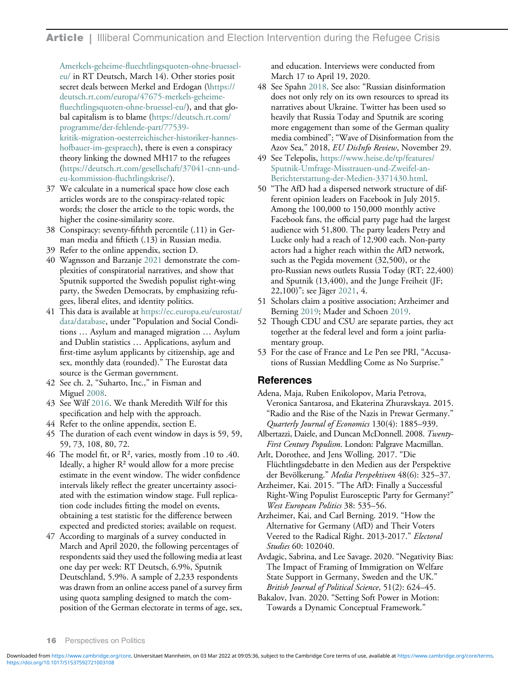**Article** | Illiberal Communication and Election Intervention during the Refugee Crisis

<span id="page-15-13"></span>Amerkels-geheime-fl[uechtlingsquoten-ohne-bruessel](https://deutsch.rt.com/europa/47675-Amerkels-geheime-fluechtlingsquoten-ohne-bruessel-eu/)[eu/](https://deutsch.rt.com/europa/47675-Amerkels-geheime-fluechtlingsquoten-ohne-bruessel-eu/) in RT Deutsch, March 14). Other stories posit secret deals between Merkel and Erdogan ([\https://](https://deutsch.rt.com/europa/47675-merkels-geheime-fluechtlingsquoten-ohne-bruessel-eu/) [deutsch.rt.com/europa/47675-merkels-geheime](https://deutsch.rt.com/europa/47675-merkels-geheime-fluechtlingsquoten-ohne-bruessel-eu/)fl[uechtlingsquoten-ohne-bruessel-eu/](https://deutsch.rt.com/europa/47675-merkels-geheime-fluechtlingsquoten-ohne-bruessel-eu/)), and that global capitalism is to blame [\(https://deutsch.rt.com/](https://deutsch.rt.com/programme/der-fehlende-part/77539-kritik-migration-oesterreichischer-historiker-hannes-hofbauer-im-gespraech) [programme/der-fehlende-part/77539](https://deutsch.rt.com/programme/der-fehlende-part/77539-kritik-migration-oesterreichischer-historiker-hannes-hofbauer-im-gespraech) [kritik-migration-oesterreichischer-historiker-hannes](https://deutsch.rt.com/programme/der-fehlende-part/77539-kritik-migration-oesterreichischer-historiker-hannes-hofbauer-im-gespraech)[hofbauer-im-gespraech](https://deutsch.rt.com/programme/der-fehlende-part/77539-kritik-migration-oesterreichischer-historiker-hannes-hofbauer-im-gespraech)), there is even a conspiracy theory linking the downed MH17 to the refugees ([https://deutsch.rt.com/gesellschaft/37041-cnn-und](https://deutsch.rt.com/gesellschaft/37041-cnn-und-eu-kommission-fluchtlingskrise/)[eu-kommission-](https://deutsch.rt.com/gesellschaft/37041-cnn-und-eu-kommission-fluchtlingskrise/)fluchtlingskrise/).

- <span id="page-15-14"></span><span id="page-15-4"></span>37 We calculate in a numerical space how close each articles words are to the conspiracy-related topic words; the closer the article to the topic words, the higher the cosine-similarity score.
- <span id="page-15-5"></span>38 Conspiracy: seventy-fifthth percentile (.11) in German media and fiftieth (.13) in Russian media.
- <span id="page-15-6"></span>39 Refer to the online appendix, section D.
- <span id="page-15-7"></span>40 Wagnsson and Barzanje [2021](#page-18-19) demonstrate the complexities of conspiratorial narratives, and show that Sputnik supported the Swedish populist right-wing party, the Sweden Democrats, by emphasizing refugees, liberal elites, and identity politics.
- <span id="page-15-18"></span><span id="page-15-17"></span><span id="page-15-8"></span>41 This data is available at [https://ec.europa.eu/eurostat/](https://ec.europa.eu/eurostat/data/database) [data/database](https://ec.europa.eu/eurostat/data/database), under "Population and Social Conditions … Asylum and managed migration … Asylum and Dublin statistics … Applications, asylum and first-time asylum applicants by citizenship, age and sex, monthly data (rounded)." The Eurostat data source is the German government.
- <span id="page-15-19"></span><span id="page-15-16"></span><span id="page-15-9"></span>42 See ch. 2, "Suharto, Inc.," in Fisman and Miguel [2008](#page-16-22).
- <span id="page-15-10"></span>43 See Wilf [2016.](#page-18-20) We thank Meredith Wilf for this specification and help with the approach.
- <span id="page-15-11"></span>44 Refer to the online appendix, section Е.
- <span id="page-15-0"></span>45 The duration of each event window in days is 59, 59, 59, 73, 108, 80, 72.
- <span id="page-15-2"></span><span id="page-15-1"></span>46 The model fit, or R², varies, mostly from .10 to .40. Ideally, a higher  $R<sup>2</sup>$  would allow for a more precise estimate in the event window. The wider confidence intervals likely reflect the greater uncertainty associated with the estimation window stage. Full replication code includes fitting the model on events, obtaining a test statistic for the difference between expected and predicted stories; available on request.
- <span id="page-15-20"></span><span id="page-15-15"></span><span id="page-15-12"></span><span id="page-15-3"></span>47 According to marginals of a survey conducted in March and April 2020, the following percentages of respondents said they used the following media at least one day per week: RT Deutsch, 6.9%, Sputnik Deutschland, 5.9%. A sample of 2,233 respondents was drawn from an online access panel of a survey firm using quota sampling designed to match the composition of the German electorate in terms of age, sex,

and education. Interviews were conducted from March 17 to April 19, 2020.

- 48 See Spahn [2018.](#page-18-12) See also: "Russian disinformation does not only rely on its own resources to spread its narratives about Ukraine. Twitter has been used so heavily that Russia Today and Sputnik are scoring more engagement than some of the German quality media combined"; "Wave of Disinformation from the Azov Sea," 2018, EU DisInfo Review, November 29.
- 49 See Telepolis, [https://www.heise.de/tp/features/](https://www.heise.de/tp/features/Sputnik-Umfrage-Misstrauen-und-Zweifel-an-Berichterstattung-der-Medien-3371430.html) [Sputnik-Umfrage-Misstrauen-und-Zweifel-an-](https://www.heise.de/tp/features/Sputnik-Umfrage-Misstrauen-und-Zweifel-an-Berichterstattung-der-Medien-3371430.html)[Berichterstattung-der-Medien-3371430.html.](https://www.heise.de/tp/features/Sputnik-Umfrage-Misstrauen-und-Zweifel-an-Berichterstattung-der-Medien-3371430.html)
- 50 "The AfD had a dispersed network structure of different opinion leaders on Facebook in July 2015. Among the 100,000 to 150,000 monthly active Facebook fans, the official party page had the largest audience with 51,800. The party leaders Petry and Lucke only had a reach of 12,900 each. Non-party actors had a higher reach within the AfD network, such as the Pegida movement (32,500), or the pro-Russian news outlets Russia Today (RT; 22,400) and Sputnik (13,400), and the Junge Freiheit (JF; 22,100)"; see Jäger [2021](#page-17-15), 4.
- 51 Scholars claim a positive association; Arzheimer and Berning [2019](#page-15-3); Mader and Schoen [2019.](#page-17-5)
- 52 Though CDU and CSU are separate parties, they act together at the federal level and form a joint parliamentary group.
- 53 For the case of France and Le Pen see PRI, "Accusations of Russian Meddling Come as No Surprise."

# References

- Adena, Maja, Ruben Enikolopov, Maria Petrova, Veronica Santarosa, and Ekaterina Zhuravskaya. 2015. "Radio and the Rise of the Nazis in Prewar Germany." Quarterly Journal of Economics 130(4): 1885–939.
- Albertazzi, Daiele, and Duncan McDonnell. 2008. Twenty-First Century Populism. London: Palgrave Macmillan.
- Arlt, Dorothee, and Jens Wolling. 2017. "Die Flüchtlingsdebatte in den Medien aus der Perspektive der Bevölkerung." Media Perspektiven 48(6): 325–37.
- Arzheimer, Kai. 2015. "The AfD: Finally a Successful Right-Wing Populist Eurosceptic Party for Germany?" West European Politics 38: 535–56.
- Arzheimer, Kai, and Carl Berning. 2019. "How the Alternative for Germany (AfD) and Their Voters Veered to the Radical Right. 2013-2017." Electoral Studies 60: 102040.
- Avdagic, Sabrina, and Lee Savage. 2020. "Negativity Bias: The Impact of Framing of Immigration on Welfare State Support in Germany, Sweden and the UK." British Journal of Political Science, 51(2): 624–45.
- Bakalov, Ivan. 2020. "Setting Soft Power in Motion: Towards a Dynamic Conceptual Framework."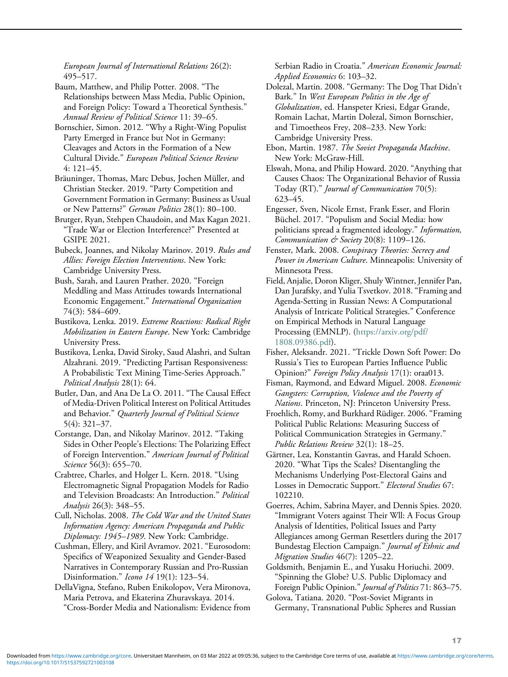European Journal of International Relations 26(2): 495–517.

<span id="page-16-7"></span>Baum, Matthew, and Philip Potter. 2008. "The Relationships between Mass Media, Public Opinion, and Foreign Policy: Toward a Theoretical Synthesis." Annual Review of Political Science 11: 39–65.

<span id="page-16-21"></span><span id="page-16-8"></span>Bornschier, Simon. 2012. "Why a Right-Wing Populist Party Emerged in France but Not in Germany: Cleavages and Actors in the Formation of a New Cultural Divide." European Political Science Review 4: 121–45.

<span id="page-16-18"></span><span id="page-16-6"></span>Bräuninger, Thomas, Marc Debus, Jochen Müller, and Christian Stecker. 2019. "Party Competition and Government Formation in Germany: Business as Usual or New Patterns?" German Politics 28(1): 80–100.

<span id="page-16-14"></span><span id="page-16-0"></span>Brutger, Ryan, Stehpen Chaudoin, and Max Kagan 2021. "Trade War or Election Interference?" Presented at GSIPE 2021.

<span id="page-16-3"></span>Bubeck, Joannes, and Nikolay Marinov. 2019. Rules and Allies: Foreign Election Interventions. New York: Cambridge University Press.

<span id="page-16-5"></span>Bush, Sarah, and Lauren Prather. 2020. "Foreign Meddling and Mass Attitudes towards International Economic Engagement." International Organization 74(3): 584–609.

<span id="page-16-20"></span>Bustikova, Lenka. 2019. Extreme Reactions: Radical Right Mobilization in Eastern Europe. New York: Cambridge University Press.

<span id="page-16-11"></span>Bustikova, Lenka, David Siroky, Saud Alashri, and Sultan Alzahrani. 2019. "Predicting Partisan Responsiveness: A Probabilistic Text Mining Time-Series Approach." Political Analysis 28(1): 64.

<span id="page-16-22"></span><span id="page-16-16"></span><span id="page-16-12"></span>Butler, Dan, and Ana De La O. 2011. "The Causal Effect of Media-Driven Political Interest on Political Attitudes and Behavior." Quarterly Journal of Political Science 5(4): 321–37.

<span id="page-16-19"></span><span id="page-16-4"></span>Corstange, Dan, and Nikolay Marinov. 2012. "Taking Sides in Other People's Elections: The Polarizing Effect of Foreign Intervention." American Journal of Political Science 56(3): 655-70.

<span id="page-16-17"></span>Crabtree, Charles, and Holger L. Kern. 2018. "Using Electromagnetic Signal Propagation Models for Radio and Television Broadcasts: An Introduction." Political Analysis 26(3): 348–55.

<span id="page-16-9"></span><span id="page-16-2"></span>Cull, Nicholas. 2008. The Cold War and the United States Information Agency: American Propaganda and Public Diplomacy: 1945-1989. New York: Cambridge.

<span id="page-16-13"></span><span id="page-16-1"></span>Cushman, Ellery, and Kiril Avramov. 2021. "Eurosodom: Specifics of Weaponized Sexuality and Gender-Based Narratives in Contemporary Russian and Pro-Russian Disinformation." Icono 14 19(1): 123-54.

<span id="page-16-15"></span><span id="page-16-10"></span>DellaVigna, Stefano, Ruben Enikolopov, Vera Mironova, Maria Petrova, and Ekaterina Zhuravskaya. 2014. "Cross-Border Media and Nationalism: Evidence from Serbian Radio in Croatia." American Economic Journal: Applied Economics 6: 103–32.

Dolezal, Martin. 2008. "Germany: The Dog That Didn't Bark." In West European Politics in the Age of Globalization, ed. Hanspeter Kriesi, Edgar Grande, Romain Lachat, Martin Dolezal, Simon Bornschier, and Timoetheos Frey, 208–233. New York: Cambridge University Press.

Ebon, Martin. 1987. The Soviet Propaganda Machine. New York: McGraw-Hill.

Elswah, Mona, and Philip Howard. 2020. "Anything that Causes Chaos: The Organizational Behavior of Russia Today (RT)." Journal of Communication 70(5): 623–45.

Engesser, Sven, Nicole Ernst, Frank Esser, and Florin Büchel. 2017. "Populism and Social Media: how politicians spread a fragmented ideology." Information, Communication & Society 20(8):  $1109-126$ .

Fenster, Mark. 2008. Conspiracy Theories: Secrecy and Power in American Culture. Minneapolis: University of Minnesota Press.

Field, Anjalie, Doron Kliger, Shuly Wintner, Jennifer Pan, Dan Jurafsky, and Yulia Tsvetkov. 2018. "Framing and Agenda-Setting in Russian News: A Computational Analysis of Intricate Political Strategies." Conference on Empirical Methods in Natural Language Processing (EMNLP). [\(https://arxiv.org/pdf/](https://arxiv.org/pdf/1808.09386.pdf) [1808.09386.pdf\)](https://arxiv.org/pdf/1808.09386.pdf).

Fisher, Aleksandr. 2021. "Trickle Down Soft Power: Do Russia's Ties to European Parties Influence Public Opinion?" Foreign Policy Analysis 17(1): oraa013.

Fisman, Raymond, and Edward Miguel. 2008. Economic Gangsters: Corruption, Violence and the Poverty of Nations. Princeton, NJ: Princeton University Press.

Froehlich, Romy, and Burkhard Rüdiger. 2006. "Framing Political Public Relations: Measuring Success of Political Communication Strategies in Germany." Public Relations Review 32(1): 18–25.

Gärtner, Lea, Konstantin Gavras, and Harald Schoen. 2020. "What Tips the Scales? Disentangling the Mechanisms Underlying Post-Electoral Gains and Losses in Democratic Support." Electoral Studies 67: 102210.

Goerres, Achim, Sabrina Mayer, and Dennis Spies. 2020. "Immigrant Voters against Their Wll: A Focus Group Analysis of Identities, Political Issues and Party Allegiances among German Resettlers during the 2017 Bundestag Election Campaign." Journal of Ethnic and Migration Studies 46(7): 1205–22.

Goldsmith, Benjamin E., and Yusaku Horiuchi. 2009. "Spinning the Globe? U.S. Public Diplomacy and Foreign Public Opinion." Journal of Politics 71: 863–75.

Golova, Tatiana. 2020. "Post-Soviet Migrants in Germany, Transnational Public Spheres and Russian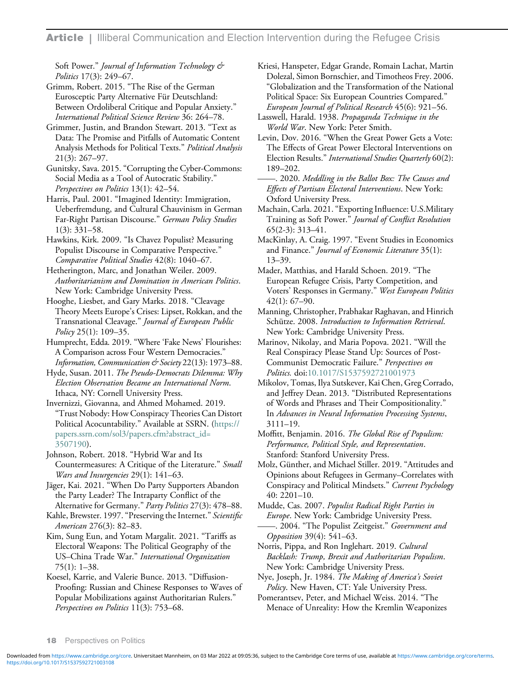Soft Power." Journal of Information Technology & Politics 17(3): 249–67.

<span id="page-17-20"></span><span id="page-17-14"></span>Grimm, Robert. 2015. "The Rise of the German Eurosceptic Party Alternative Für Deutschland: Between Ordoliberal Critique and Popular Anxiety." International Political Science Review 36: 264–78.

<span id="page-17-22"></span><span id="page-17-6"></span><span id="page-17-4"></span>Grimmer, Justin, and Brandon Stewart. 2013. "Text as Data: The Promise and Pitfalls of Automatic Content Analysis Methods for Political Texts." Political Analysis 21(3): 267–97.

<span id="page-17-24"></span><span id="page-17-13"></span>Gunitsky, Sava. 2015. "Corrupting the Cyber-Commons: Social Media as a Tool of Autocratic Stability." Perspectives on Politics 13(1): 42–54.

<span id="page-17-18"></span><span id="page-17-2"></span>Harris, Paul. 2001. "Imagined Identity: Immigration, Ueberfremdung, and Cultural Chauvinism in German Far-Right Partisan Discourse." German Policy Studies 1(3): 331–58.

<span id="page-17-12"></span>Hawkins, Kirk. 2009. "Is Chavez Populist? Measuring Populist Discourse in Comparative Perspective." Comparative Political Studies 42(8): 1040–67.

<span id="page-17-5"></span>Hetherington, Marc, and Jonathan Weiler. 2009. Authoritarianism and Domination in American Politics. New York: Cambridge University Press.

<span id="page-17-21"></span>Hooghe, Liesbet, and Gary Marks. 2018. "Cleavage Theory Meets Europe's Crises: Lipset, Rokkan, and the Transnational Cleavage." Journal of European Public Policy 25(1): 109-35.

<span id="page-17-16"></span>Humprecht, Edda. 2019. "Where 'Fake News' Flourishes: A Comparison across Four Western Democracies." Information, Communication & Society 22(13): 1973-88.

<span id="page-17-7"></span>Hyde, Susan. 2011. The Pseudo-Democrats Dilemma: Why Election Observation Became an International Norm. Ithaca, NY: Cornell University Press.

<span id="page-17-23"></span>Invernizzi, Giovanna, and Ahmed Mohamed. 2019. "Trust Nobody: How Conspiracy Theories Can Distort Political Acocuntability." Available at SSRN. [\(https://](https://papers.ssrn.com/sol3/papers.cfm?abstract_id=3507190) [papers.ssrn.com/sol3/papers.cfm?abstract\\_id=](https://papers.ssrn.com/sol3/papers.cfm?abstract_id=3507190) [3507190](https://papers.ssrn.com/sol3/papers.cfm?abstract_id=3507190)).

<span id="page-17-17"></span><span id="page-17-11"></span><span id="page-17-3"></span>Johnson, Robert. 2018. "Hybrid War and Its Countermeasures: A Critique of the Literature." Small Wars and Insurgencies 29(1): 141-63.

<span id="page-17-15"></span>Jäger, Kai. 2021. "When Do Party Supporters Abandon the Party Leader? The Intraparty Conflict of the

<span id="page-17-10"></span>Alternative for Germany." Party Politics 27(3): 478-88. Kahle, Brewster. 1997. "Preserving the Internet." Scientific American 276(3): 82–83.

<span id="page-17-19"></span><span id="page-17-9"></span><span id="page-17-0"></span>Kim, Sung Eun, and Yotam Margalit. 2021. "Tariffs as Electoral Weapons: The Political Geography of the US–China Trade War." International Organization 75(1): 1–38.

<span id="page-17-8"></span><span id="page-17-1"></span>Koesel, Karrie, and Valerie Bunce. 2013. "Diffusion-Proofing: Russian and Chinese Responses to Waves of Popular Mobilizations against Authoritarian Rulers." Perspectives on Politics 11(3): 753-68.

Kriesi, Hanspeter, Edgar Grande, Romain Lachat, Martin Dolezal, Simon Bornschier, and Timotheos Frey. 2006. "Globalization and the Transformation of the National Political Space: Six European Countries Compared." European Journal of Political Research 45(6): 921–56.

Lasswell, Harald. 1938. Propaganda Technique in the World War. New York: Peter Smith.

Levin, Dov. 2016. "When the Great Power Gets a Vote: The Effects of Great Power Electoral Interventions on Election Results." International Studies Quarterly 60(2): 189–202.

-. 2020. Meddling in the Ballot Box: The Causes and Effects of Partisan Electoral Interventions. New York: Oxford University Press.

Machain, Carla. 2021."Exporting Influence: U.S.Military Training as Soft Power." Journal of Conflict Resolution 65(2-3): 313–41.

MacKinlay, A. Craig. 1997. "Event Studies in Economics and Finance." *Journal of Economic Literature* 35(1): 13–39.

Mader, Matthias, and Harald Schoen. 2019. "The European Refugee Crisis, Party Competition, and Voters' Responses in Germany." West European Politics 42(1): 67–90.

Manning, Christopher, Prabhakar Raghavan, and Hinrich Schütze. 2008. Introduction to Information Retrieval. New York: Cambridge University Press.

Marinov, Nikolay, and Maria Popova. 2021. "Will the Real Conspiracy Please Stand Up: Sources of Post-Communist Democratic Failure." Perspectives on Politics. doi:[10.1017/S1537592721001973](https://doi.org/10.1017/S1537592721001973)

Mikolov, Tomas, Ilya Sutskever, Kai Chen, Greg Corrado, and Jeffrey Dean. 2013. "Distributed Representations of Words and Phrases and Their Compositionality." In Advances in Neural Information Processing Systems, 3111–19.

Moffitt, Benjamin. 2016. The Global Rise of Populism: Performance, Political Style, and Representation. Stanford: Stanford University Press.

Molz, Günther, and Michael Stiller. 2019. "Attitudes and Opinions about Refugees in Germany–Correlates with Conspiracy and Political Mindsets." Current Psychology 40: 2201–10.

Mudde, Cas. 2007. Populist Radical Right Parties in Europe. New York: Cambridge University Press. -. 2004. "The Populist Zeitgeist." Government and

Opposition 39(4): 541–63. Norris, Pippa, and Ron Inglehart. 2019. Cultural

Backlash: Trump, Brexit and Authoritarian Populism. New York: Cambridge University Press.

Nye, Joseph, Jr. 1984. The Making of America's Soviet Policy. New Haven, CT: Yale University Press.

Pomerantsev, Peter, and Michael Weiss. 2014. "The Menace of Unreality: How the Kremlin Weaponizes